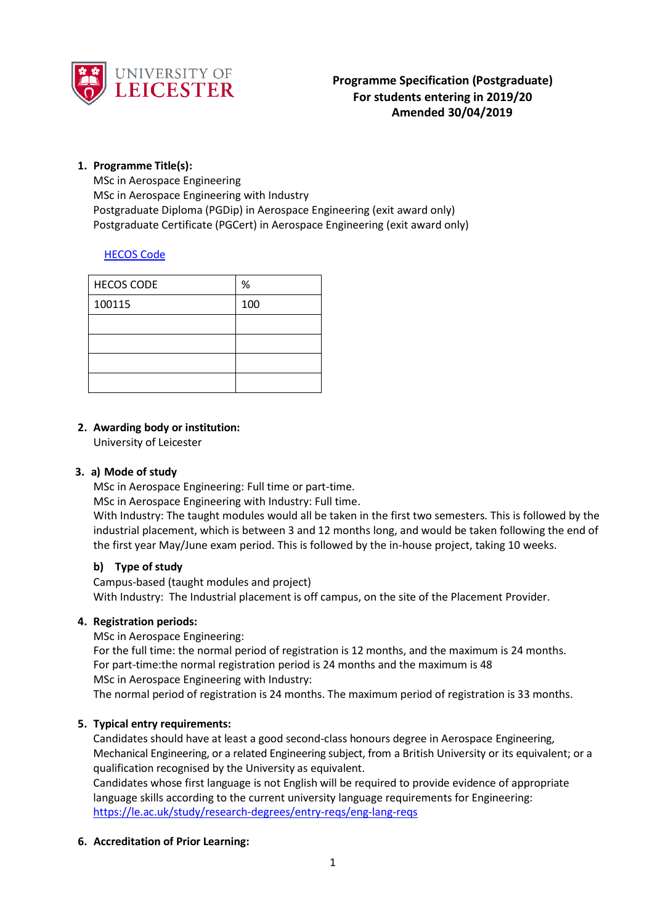

### **1. Programme Title(s):**

MSc in Aerospace Engineering MSc in Aerospace Engineering with Industry Postgraduate Diploma (PGDip) in Aerospace Engineering (exit award only) Postgraduate Certificate (PGCert) in Aerospace Engineering (exit award only)

### [HECOS Code](https://www.hesa.ac.uk/innovation/hecos)

| <b>HECOS CODE</b> | $\%$ |
|-------------------|------|
| 100115            | 100  |
|                   |      |
|                   |      |
|                   |      |
|                   |      |

# **2. Awarding body or institution:**

University of Leicester

### **3. a) Mode of study**

MSc in Aerospace Engineering: Full time or part-time.

MSc in Aerospace Engineering with Industry: Full time.

With Industry: The taught modules would all be taken in the first two semesters. This is followed by the industrial placement, which is between 3 and 12 months long, and would be taken following the end of the first year May/June exam period. This is followed by the in-house project, taking 10 weeks.

### **b) Type of study**

Campus-based (taught modules and project) With Industry: The Industrial placement is off campus, on the site of the Placement Provider.

# **4. Registration periods:**

MSc in Aerospace Engineering:

For the full time: the normal period of registration is 12 months, and the maximum is 24 months. For part-time:the normal registration period is 24 months and the maximum is 48 MSc in Aerospace Engineering with Industry:

The normal period of registration is 24 months. The maximum period of registration is 33 months.

# **5. Typical entry requirements:**

Candidates should have at least a good second-class honours degree in Aerospace Engineering, Mechanical Engineering, or a related Engineering subject, from a British University or its equivalent; or a qualification recognised by the University as equivalent.

Candidates whose first language is not English will be required to provide evidence of appropriate language skills according to the current university language requirements for Engineering: <https://le.ac.uk/study/research-degrees/entry-reqs/eng-lang-reqs>

# **6. Accreditation of Prior Learning:**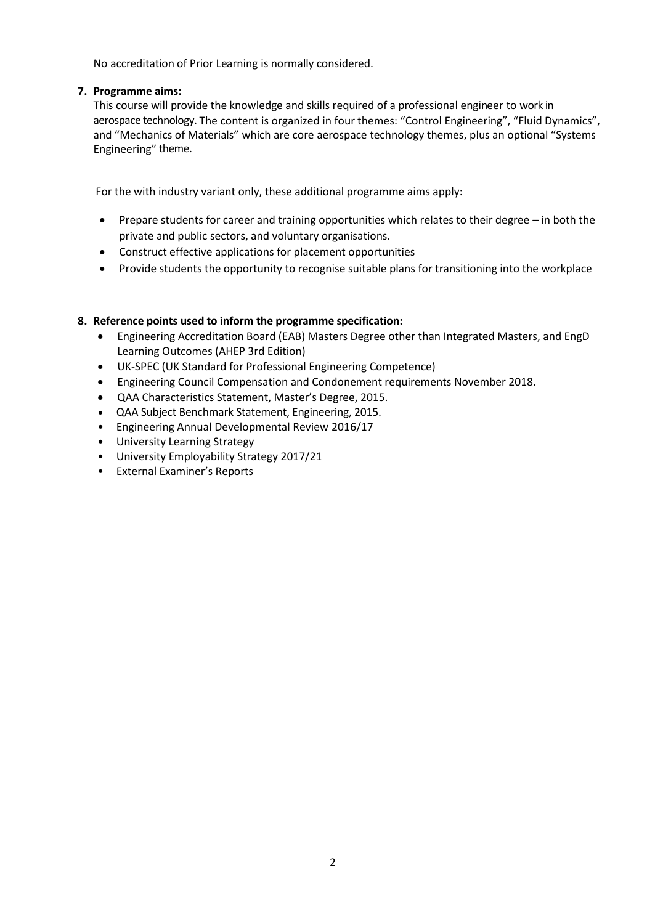No accreditation of Prior Learning is normally considered.

### **7. Programme aims:**

This course will provide the knowledge and skills required of a professional engineer to work in aerospace technology. The content is organized in four themes: "Control Engineering", "Fluid Dynamics", and "Mechanics of Materials" which are core aerospace technology themes, plus an optional "Systems Engineering" theme.

For the with industry variant only, these additional programme aims apply:

- Prepare students for career and training opportunities which relates to their degree in both the private and public sectors, and voluntary organisations.
- Construct effective applications for placement opportunities
- Provide students the opportunity to recognise suitable plans for transitioning into the workplace

# **8. Reference points used to inform the programme specification:**

- Engineering Accreditation Board (EAB) Masters Degree other than Integrated Masters, and EngD Learning Outcomes (AHEP 3rd Edition)
- UK-SPEC (UK Standard for Professional Engineering Competence)
- Engineering Council Compensation and Condonement requirements November 2018.
- QAA Characteristics Statement, Master's Degree, 2015.
- QAA Subject Benchmark Statement, Engineering, 2015.
- Engineering Annual Developmental Review 2016/17
- University Learning Strategy
- University Employability Strategy 2017/21
- External Examiner's Reports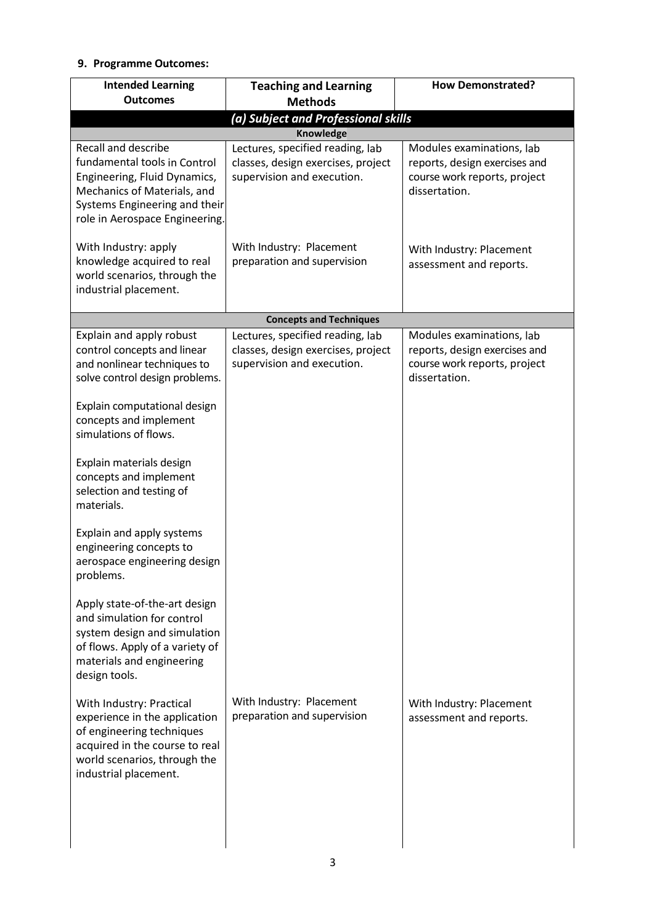# **9. Programme Outcomes:**

| <b>Intended Learning</b>                                                                                                                                                                     | <b>Teaching and Learning</b>                                                                         | <b>How Demonstrated?</b>                                                                                    |  |
|----------------------------------------------------------------------------------------------------------------------------------------------------------------------------------------------|------------------------------------------------------------------------------------------------------|-------------------------------------------------------------------------------------------------------------|--|
| <b>Outcomes</b>                                                                                                                                                                              | <b>Methods</b>                                                                                       |                                                                                                             |  |
| (a) Subject and Professional skills                                                                                                                                                          |                                                                                                      |                                                                                                             |  |
|                                                                                                                                                                                              | Knowledge                                                                                            |                                                                                                             |  |
| <b>Recall and describe</b><br>fundamental tools in Control<br>Engineering, Fluid Dynamics,<br>Mechanics of Materials, and<br>Systems Engineering and their<br>role in Aerospace Engineering. | Lectures, specified reading, lab<br>classes, design exercises, project<br>supervision and execution. | Modules examinations, lab<br>reports, design exercises and<br>course work reports, project<br>dissertation. |  |
| With Industry: apply<br>knowledge acquired to real<br>world scenarios, through the<br>industrial placement.                                                                                  | With Industry: Placement<br>preparation and supervision                                              | With Industry: Placement<br>assessment and reports.                                                         |  |
|                                                                                                                                                                                              | <b>Concepts and Techniques</b>                                                                       |                                                                                                             |  |
| Explain and apply robust<br>control concepts and linear<br>and nonlinear techniques to<br>solve control design problems.                                                                     | Lectures, specified reading, lab<br>classes, design exercises, project<br>supervision and execution. | Modules examinations, lab<br>reports, design exercises and<br>course work reports, project<br>dissertation. |  |
| Explain computational design<br>concepts and implement<br>simulations of flows.                                                                                                              |                                                                                                      |                                                                                                             |  |
| Explain materials design<br>concepts and implement<br>selection and testing of<br>materials.                                                                                                 |                                                                                                      |                                                                                                             |  |
| Explain and apply systems<br>engineering concepts to<br>aerospace engineering design<br>problems.                                                                                            |                                                                                                      |                                                                                                             |  |
| Apply state-of-the-art design<br>and simulation for control<br>system design and simulation<br>of flows. Apply of a variety of<br>materials and engineering<br>design tools.                 |                                                                                                      |                                                                                                             |  |
| With Industry: Practical<br>experience in the application<br>of engineering techniques<br>acquired in the course to real<br>world scenarios, through the<br>industrial placement.            | With Industry: Placement<br>preparation and supervision                                              | With Industry: Placement<br>assessment and reports.                                                         |  |
|                                                                                                                                                                                              |                                                                                                      |                                                                                                             |  |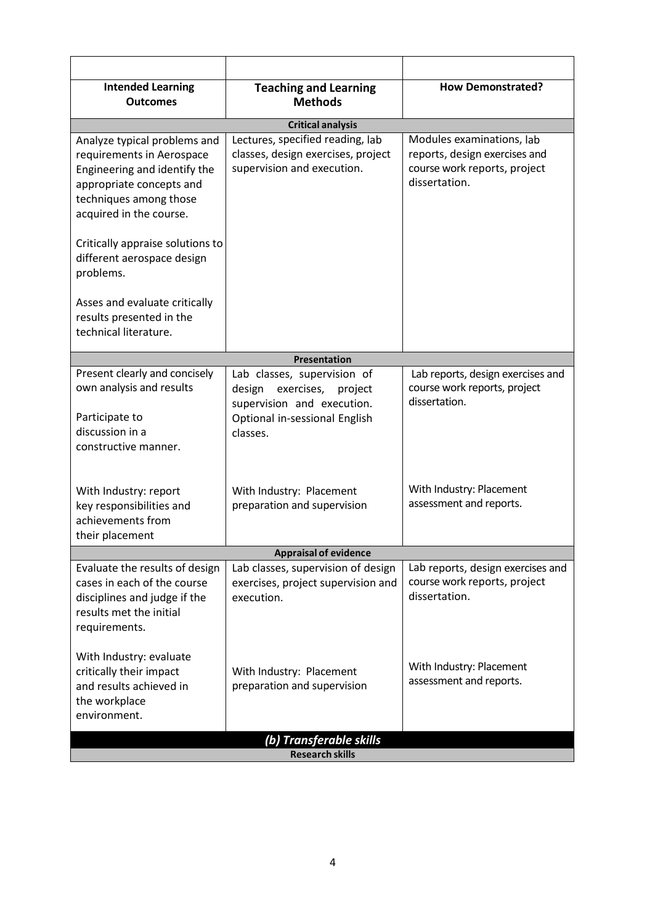| <b>Intended Learning</b><br><b>Outcomes</b>                                                                                                                                | <b>Teaching and Learning</b><br><b>Methods</b>                                                                                            | <b>How Demonstrated?</b>                                                                                    |  |
|----------------------------------------------------------------------------------------------------------------------------------------------------------------------------|-------------------------------------------------------------------------------------------------------------------------------------------|-------------------------------------------------------------------------------------------------------------|--|
|                                                                                                                                                                            | <b>Critical analysis</b>                                                                                                                  |                                                                                                             |  |
| Analyze typical problems and<br>requirements in Aerospace<br>Engineering and identify the<br>appropriate concepts and<br>techniques among those<br>acquired in the course. | Lectures, specified reading, lab<br>classes, design exercises, project<br>supervision and execution.                                      | Modules examinations, lab<br>reports, design exercises and<br>course work reports, project<br>dissertation. |  |
| Critically appraise solutions to<br>different aerospace design<br>problems.                                                                                                |                                                                                                                                           |                                                                                                             |  |
| Asses and evaluate critically<br>results presented in the<br>technical literature.                                                                                         |                                                                                                                                           |                                                                                                             |  |
|                                                                                                                                                                            | Presentation                                                                                                                              |                                                                                                             |  |
| Present clearly and concisely<br>own analysis and results<br>Participate to<br>discussion in a<br>constructive manner.                                                     | Lab classes, supervision of<br>exercises,<br>design<br>project<br>supervision and execution.<br>Optional in-sessional English<br>classes. | Lab reports, design exercises and<br>course work reports, project<br>dissertation.                          |  |
| With Industry: report<br>key responsibilities and<br>achievements from<br>their placement                                                                                  | With Industry: Placement<br>preparation and supervision                                                                                   | With Industry: Placement<br>assessment and reports.                                                         |  |
| <b>Appraisal of evidence</b>                                                                                                                                               |                                                                                                                                           |                                                                                                             |  |
| Evaluate the results of design<br>cases in each of the course<br>disciplines and judge if the<br>results met the initial<br>requirements.                                  | Lab classes, supervision of design<br>exercises, project supervision and<br>execution.                                                    | Lab reports, design exercises and<br>course work reports, project<br>dissertation.                          |  |
| With Industry: evaluate<br>critically their impact<br>and results achieved in<br>the workplace<br>environment.                                                             | With Industry: Placement<br>preparation and supervision                                                                                   | With Industry: Placement<br>assessment and reports.                                                         |  |
| (b) Transferable skills<br><b>Research skills</b>                                                                                                                          |                                                                                                                                           |                                                                                                             |  |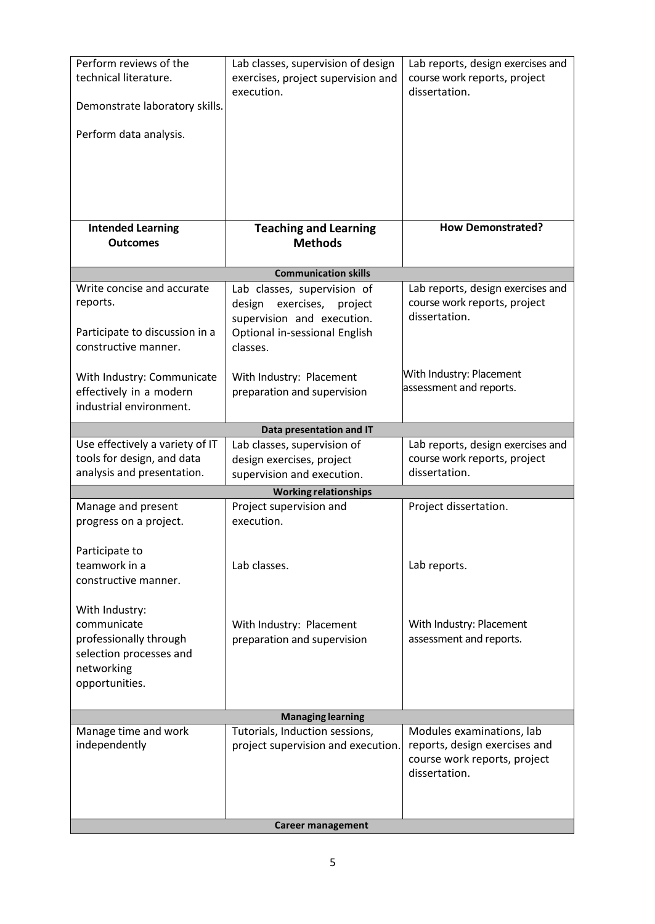| Perform reviews of the<br>technical literature.<br>Demonstrate laboratory skills.<br>Perform data analysis.        | Lab classes, supervision of design<br>exercises, project supervision and<br>execution.                                                    | Lab reports, design exercises and<br>course work reports, project<br>dissertation.                          |  |
|--------------------------------------------------------------------------------------------------------------------|-------------------------------------------------------------------------------------------------------------------------------------------|-------------------------------------------------------------------------------------------------------------|--|
| <b>Intended Learning</b><br><b>Outcomes</b>                                                                        | <b>Teaching and Learning</b><br><b>Methods</b>                                                                                            | <b>How Demonstrated?</b>                                                                                    |  |
|                                                                                                                    |                                                                                                                                           |                                                                                                             |  |
|                                                                                                                    | <b>Communication skills</b>                                                                                                               |                                                                                                             |  |
| Write concise and accurate<br>reports.<br>Participate to discussion in a<br>constructive manner.                   | Lab classes, supervision of<br>exercises,<br>design<br>project<br>supervision and execution.<br>Optional in-sessional English<br>classes. | Lab reports, design exercises and<br>course work reports, project<br>dissertation.                          |  |
| With Industry: Communicate<br>effectively in a modern<br>industrial environment.                                   | With Industry: Placement<br>preparation and supervision                                                                                   | With Industry: Placement<br>assessment and reports.                                                         |  |
|                                                                                                                    | Data presentation and IT                                                                                                                  |                                                                                                             |  |
| Use effectively a variety of IT<br>tools for design, and data<br>analysis and presentation.                        | Lab classes, supervision of<br>design exercises, project<br>supervision and execution.                                                    | Lab reports, design exercises and<br>course work reports, project<br>dissertation.                          |  |
|                                                                                                                    | <b>Working relationships</b>                                                                                                              |                                                                                                             |  |
| Manage and present<br>progress on a project.                                                                       | Project supervision and<br>execution.                                                                                                     | Project dissertation.                                                                                       |  |
| Participate to<br>teamwork in a<br>constructive manner.                                                            | Lab classes.                                                                                                                              | Lab reports.                                                                                                |  |
| With Industry:<br>communicate<br>professionally through<br>selection processes and<br>networking<br>opportunities. | With Industry: Placement<br>preparation and supervision                                                                                   | With Industry: Placement<br>assessment and reports.                                                         |  |
| <b>Managing learning</b>                                                                                           |                                                                                                                                           |                                                                                                             |  |
| Manage time and work<br>independently                                                                              | Tutorials, Induction sessions,<br>project supervision and execution.                                                                      | Modules examinations, lab<br>reports, design exercises and<br>course work reports, project<br>dissertation. |  |
| <b>Career management</b>                                                                                           |                                                                                                                                           |                                                                                                             |  |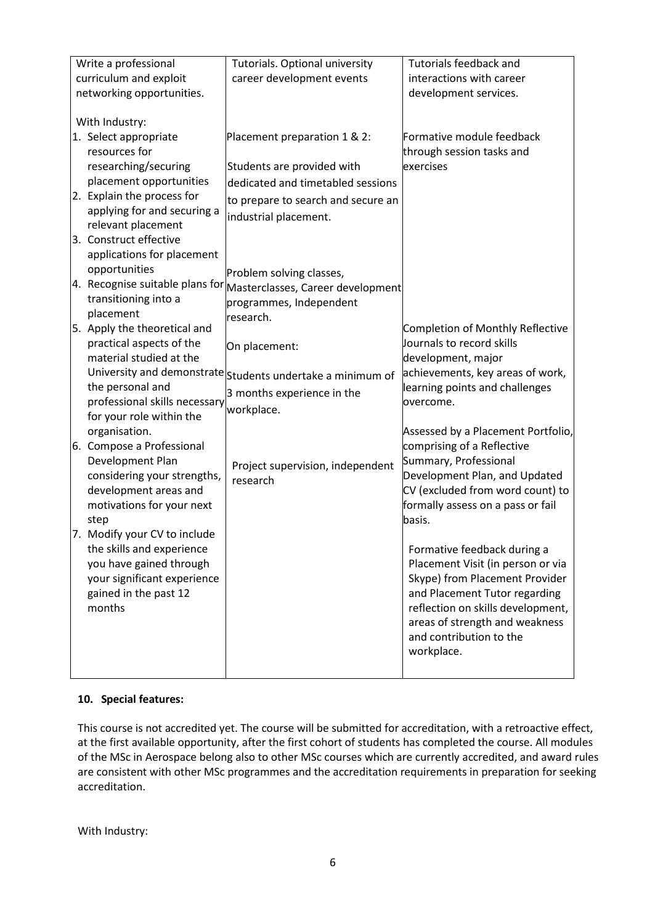| Write a professional          | Tutorials. Optional university                                                    | <b>Tutorials feedback and</b>      |
|-------------------------------|-----------------------------------------------------------------------------------|------------------------------------|
|                               |                                                                                   |                                    |
| curriculum and exploit        | career development events                                                         | interactions with career           |
| networking opportunities.     |                                                                                   | development services.              |
|                               |                                                                                   |                                    |
| With Industry:                |                                                                                   |                                    |
| 1. Select appropriate         | Placement preparation 1 & 2:                                                      | Formative module feedback          |
| resources for                 |                                                                                   | through session tasks and          |
| researching/securing          | Students are provided with                                                        | exercises                          |
| placement opportunities       | dedicated and timetabled sessions                                                 |                                    |
| 2. Explain the process for    | to prepare to search and secure an                                                |                                    |
| applying for and securing a   | industrial placement.                                                             |                                    |
| relevant placement            |                                                                                   |                                    |
| 3. Construct effective        |                                                                                   |                                    |
| applications for placement    |                                                                                   |                                    |
| opportunities                 | Problem solving classes,                                                          |                                    |
|                               | $\vert$ 4. Recognise suitable plans for $\vert$ Masterclasses, Career development |                                    |
| transitioning into a          | programmes, Independent                                                           |                                    |
| placement                     | research.                                                                         |                                    |
| 5. Apply the theoretical and  |                                                                                   | Completion of Monthly Reflective   |
| practical aspects of the      |                                                                                   | Journals to record skills          |
| material studied at the       | On placement:                                                                     | development, major                 |
|                               | University and demonstrate students undertake a minimum of                        | achievements, key areas of work,   |
| the personal and              |                                                                                   | learning points and challenges     |
| professional skills necessary | 3 months experience in the                                                        | overcome.                          |
| for your role within the      | workplace.                                                                        |                                    |
| organisation.                 |                                                                                   | Assessed by a Placement Portfolio, |
|                               |                                                                                   |                                    |
| 6. Compose a Professional     |                                                                                   | comprising of a Reflective         |
| Development Plan              | Project supervision, independent                                                  | Summary, Professional              |
| considering your strengths,   | research                                                                          | Development Plan, and Updated      |
| development areas and         |                                                                                   | CV (excluded from word count) to   |
| motivations for your next     |                                                                                   | formally assess on a pass or fail  |
| step                          |                                                                                   | basis.                             |
| 7. Modify your CV to include  |                                                                                   |                                    |
| the skills and experience     |                                                                                   | Formative feedback during a        |
| you have gained through       |                                                                                   | Placement Visit (in person or via  |
| your significant experience   |                                                                                   | Skype) from Placement Provider     |
| gained in the past 12         |                                                                                   | and Placement Tutor regarding      |
| months                        |                                                                                   | reflection on skills development,  |
|                               |                                                                                   | areas of strength and weakness     |
|                               |                                                                                   | and contribution to the            |
|                               |                                                                                   | workplace.                         |
|                               |                                                                                   |                                    |
|                               |                                                                                   |                                    |

# **10. Special features:**

This course is not accredited yet. The course will be submitted for accreditation, with a retroactive effect, at the first available opportunity, after the first cohort of students has completed the course. All modules of the MSc in Aerospace belong also to other MSc courses which are currently accredited, and award rules are consistent with other MSc programmes and the accreditation requirements in preparation for seeking accreditation.

With Industry: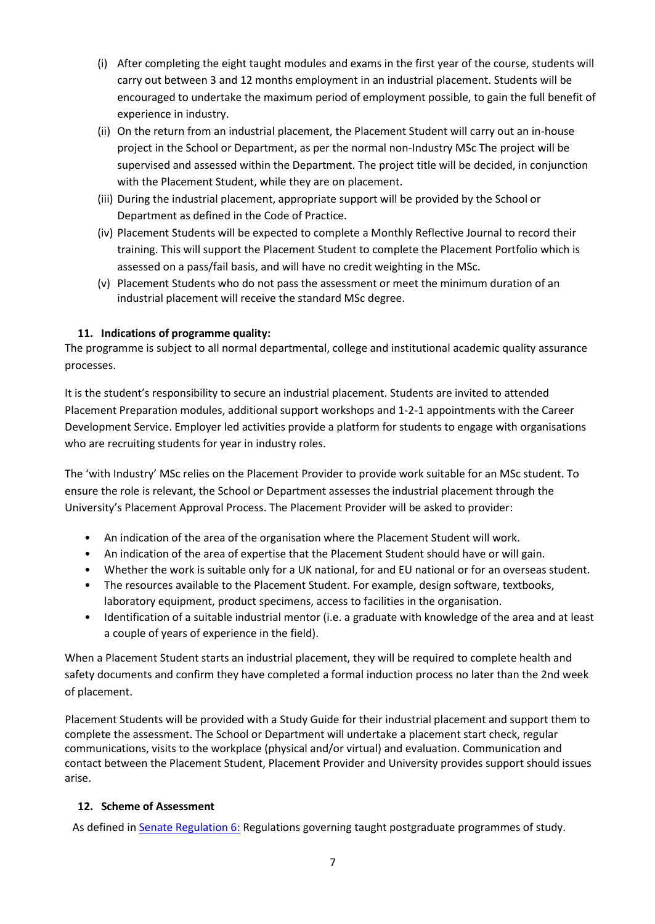- (i) After completing the eight taught modules and exams in the first year of the course, students will carry out between 3 and 12 months employment in an industrial placement. Students will be encouraged to undertake the maximum period of employment possible, to gain the full benefit of experience in industry.
- (ii) On the return from an industrial placement, the Placement Student will carry out an in-house project in the School or Department, as per the normal non-Industry MSc The project will be supervised and assessed within the Department. The project title will be decided, in conjunction with the Placement Student, while they are on placement.
- (iii) During the industrial placement, appropriate support will be provided by the School or Department as defined in the Code of Practice.
- (iv) Placement Students will be expected to complete a Monthly Reflective Journal to record their training. This will support the Placement Student to complete the Placement Portfolio which is assessed on a pass/fail basis, and will have no credit weighting in the MSc.
- (v) Placement Students who do not pass the assessment or meet the minimum duration of an industrial placement will receive the standard MSc degree.

# **11. Indications of programme quality:**

The programme is subject to all normal departmental, college and institutional academic quality assurance processes.

It is the student's responsibility to secure an industrial placement. Students are invited to attended Placement Preparation modules, additional support workshops and 1-2-1 appointments with the Career Development Service. Employer led activities provide a platform for students to engage with organisations who are recruiting students for year in industry roles.

The 'with Industry' MSc relies on the Placement Provider to provide work suitable for an MSc student. To ensure the role is relevant, the School or Department assesses the industrial placement through the University's Placement Approval Process. The Placement Provider will be asked to provider:

- An indication of the area of the organisation where the Placement Student will work.
- An indication of the area of expertise that the Placement Student should have or will gain.
- Whether the work is suitable only for a UK national, for and EU national or for an overseas student.
- The resources available to the Placement Student. For example, design software, textbooks, laboratory equipment, product specimens, access to facilities in the organisation.
- Identification of a suitable industrial mentor (i.e. a graduate with knowledge of the area and at least a couple of years of experience in the field).

When a Placement Student starts an industrial placement, they will be required to complete health and safety documents and confirm they have completed a formal induction process no later than the 2nd week of placement.

Placement Students will be provided with a Study Guide for their industrial placement and support them to complete the assessment. The School or Department will undertake a placement start check, regular communications, visits to the workplace (physical and/or virtual) and evaluation. Communication and contact between the Placement Student, Placement Provider and University provides support should issues arise.

# **12. Scheme of Assessment**

As defined i[n Senate Regulation 6:](http://www.le.ac.uk/senate-regulation6) Regulations governing taught postgraduate programmes of study.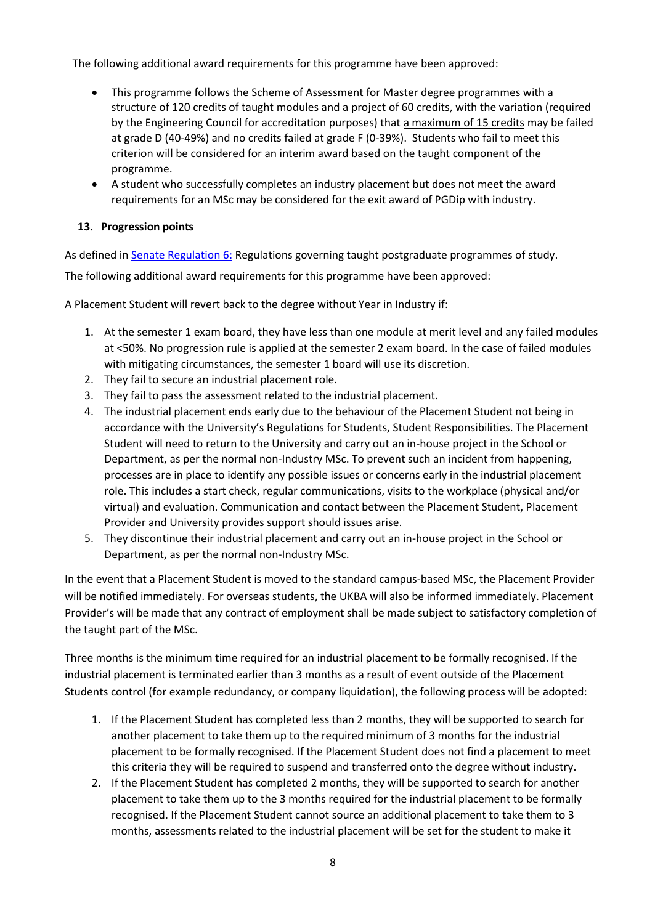The following additional award requirements for this programme have been approved:

- This programme follows the Scheme of Assessment for Master degree programmes with a structure of 120 credits of taught modules and a project of 60 credits, with the variation (required by the Engineering Council for accreditation purposes) that a maximum of 15 credits may be failed at grade D (40-49%) and no credits failed at grade F (0-39%). Students who fail to meet this criterion will be considered for an interim award based on the taught component of the programme.
- A student who successfully completes an industry placement but does not meet the award requirements for an MSc may be considered for the exit award of PGDip with industry.

# **13. Progression points**

As defined in **Senate Regulation 6: Regulations governing taught postgraduate programmes of study.** 

The following additional award requirements for this programme have been approved:

A Placement Student will revert back to the degree without Year in Industry if:

- 1. At the semester 1 exam board, they have less than one module at merit level and any failed modules at <50%. No progression rule is applied at the semester 2 exam board. In the case of failed modules with mitigating circumstances, the semester 1 board will use its discretion.
- 2. They fail to secure an industrial placement role.
- 3. They fail to pass the assessment related to the industrial placement.
- 4. The industrial placement ends early due to the behaviour of the Placement Student not being in accordance with the University's Regulations for Students, Student Responsibilities. The Placement Student will need to return to the University and carry out an in-house project in the School or Department, as per the normal non-Industry MSc. To prevent such an incident from happening, processes are in place to identify any possible issues or concerns early in the industrial placement role. This includes a start check, regular communications, visits to the workplace (physical and/or virtual) and evaluation. Communication and contact between the Placement Student, Placement Provider and University provides support should issues arise.
- 5. They discontinue their industrial placement and carry out an in-house project in the School or Department, as per the normal non-Industry MSc.

In the event that a Placement Student is moved to the standard campus-based MSc, the Placement Provider will be notified immediately. For overseas students, the UKBA will also be informed immediately. Placement Provider's will be made that any contract of employment shall be made subject to satisfactory completion of the taught part of the MSc.

Three months is the minimum time required for an industrial placement to be formally recognised. If the industrial placement is terminated earlier than 3 months as a result of event outside of the Placement Students control (for example redundancy, or company liquidation), the following process will be adopted:

- 1. If the Placement Student has completed less than 2 months, they will be supported to search for another placement to take them up to the required minimum of 3 months for the industrial placement to be formally recognised. If the Placement Student does not find a placement to meet this criteria they will be required to suspend and transferred onto the degree without industry.
- 2. If the Placement Student has completed 2 months, they will be supported to search for another placement to take them up to the 3 months required for the industrial placement to be formally recognised. If the Placement Student cannot source an additional placement to take them to 3 months, assessments related to the industrial placement will be set for the student to make it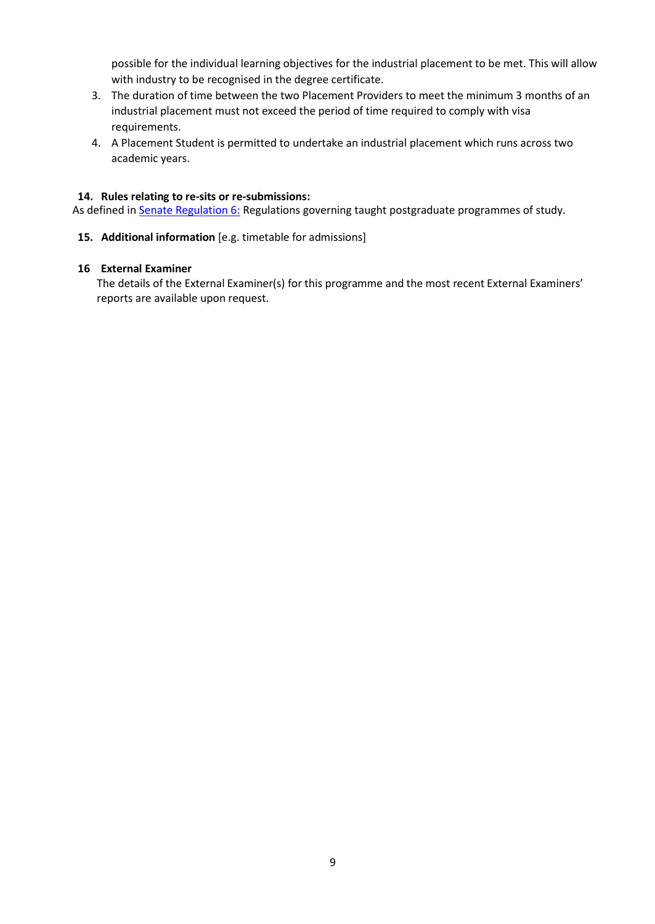possible for the individual learning objectives for the industrial placement to be met. This will allow with industry to be recognised in the degree certificate.

- 3. The duration of time between the two Placement Providers to meet the minimum 3 months of an industrial placement must not exceed the period of time required to comply with visa requirements.
- 4. A Placement Student is permitted to undertake an industrial placement which runs across two academic years.

### **14. Rules relating to re-sits or re-submissions:**

As defined in **Senate Regulation 6:** Regulations governing taught postgraduate programmes of study.

**15. Additional information** [e.g. timetable for admissions]

#### **16 External Examiner**

The details of the External Examiner(s) for this programme and the most recent External Examiners' reports are available upon request.